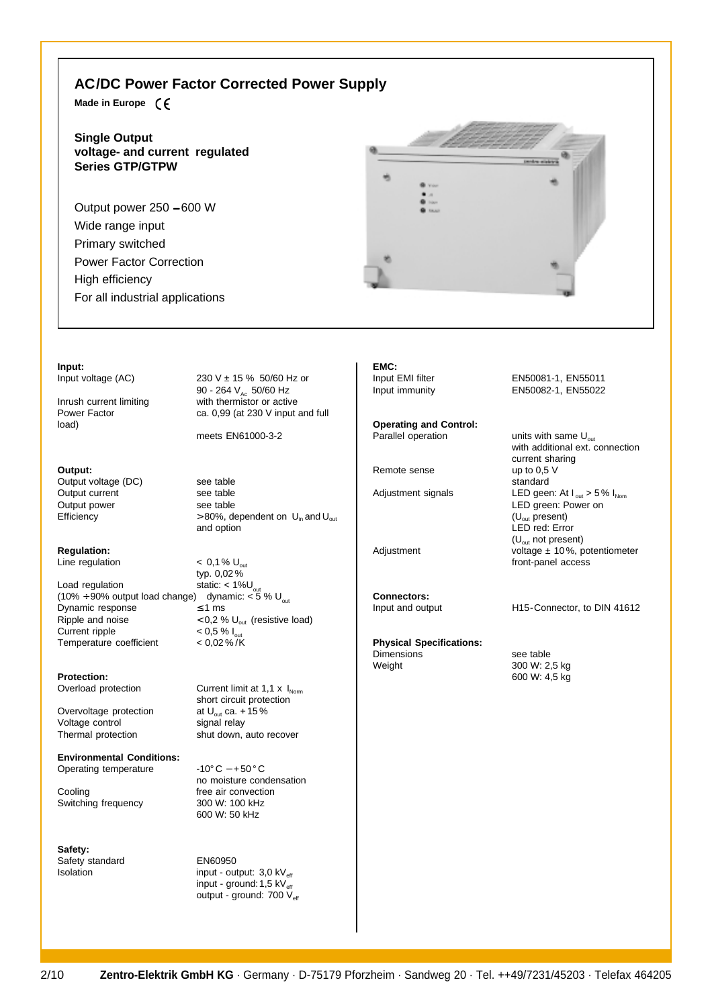## **AC/DC Power Factor Corrected Power Supply**

**Made in Europe**

**Single Output voltage- and current regulated Series GTP/GTPW**

Output power 250 − 600 W Wide range input Primary switched Power Factor Correction High efficiency For all industrial applications



### **Input:**

load)

**Output:**

Output voltage (DC) see table<br>Output current see table Output current see table<br>
Output power<br>
See table Output power

# **Regulation:**

Load regulation static: < 1%U<sub>out</sub> (10% ÷ 90% output load change) dynamic: < 5 %  $\bigcup_{_{\text{out}}}$ Dynamic response  $\leq 1$  ms Ripple and noise  $(0.2 \% U_{\text{out}}$  (resistive load)<br>Current ripple  $(0.5 \% U_{\text{out}}$ Temperature coefficient

### **Protection:**

Overvoltage protection at U<sub>out</sub> ca. +<br>Voltage control signal relay Voltage control Thermal protection shut down, auto recover

**Environmental Conditions:** Operating temperature -10° C − + 50 ° C

Cooling free air convection<br>Switching frequency 300 W: 100 kHz Switching frequency

**Safety:** Safety standard EN60950

Input voltage  $(AC)$  230 V  $\pm$  15 % 50/60 Hz or 90 - 264 V<sub>Ac</sub> 50/60 Hz Inrush current limiting with thermistor or active<br>
Power Factor ca. 0,99 (at 230 V input and  $ca. 0,99$  (at 230 V input and full

meets EN61000-3-2

Efficiency  $> 80\%$ , dependent on  $U_{in}$  and  $U_{out}$ and option

Line regulation  $< 0.1 \%$  U<sub>out</sub> typ.  $0,02\%$ <br>static: < 1%U  $< 0.5 \% I_{\text{out}}$ <br> $< 0.02 \% / K$ 

Overload protection Current limit at  $1,1 \times I_{Norm}$ short circuit protection<br>at  $U_{\text{out}}$  ca. +15%

> no moisture condensation 600 W: 50 kHz

 $I$ solation input - output:  $3.0 \text{ kV}_{\text{eff}}$ input - ground:  $1,5$  kV $_{\text{eff}}$ output - ground: 700 V<sub>eff</sub> **EMC:**

**Operating and Control:** Parallel operation  $\mathsf{units}$  with same  $\mathsf{U}_{\text{out}}$ 

Remote sense up to 0.5 V

**Connectors:**<br>Input and output

**Physical Specifications:**

Dimensions see table<br>
Weight 300 W: 2

Input EMI filter EN50081-1, EN55011 Input immunity EN50082-1, EN55022

with additional ext. connection current sharing standard Adjustment signals LED geen: At  $I_{\text{out}} > 5\% I_{\text{Nom}}$ LED green: Power on (Uout present) LED red: Error  $(U_{\text{out}}$  not present) Adjustment voltage ± 10%, potentiometer front-panel access

H15-Connector, to DIN 41612

300 W: 2,5 kg 600 W: 4,5 kg